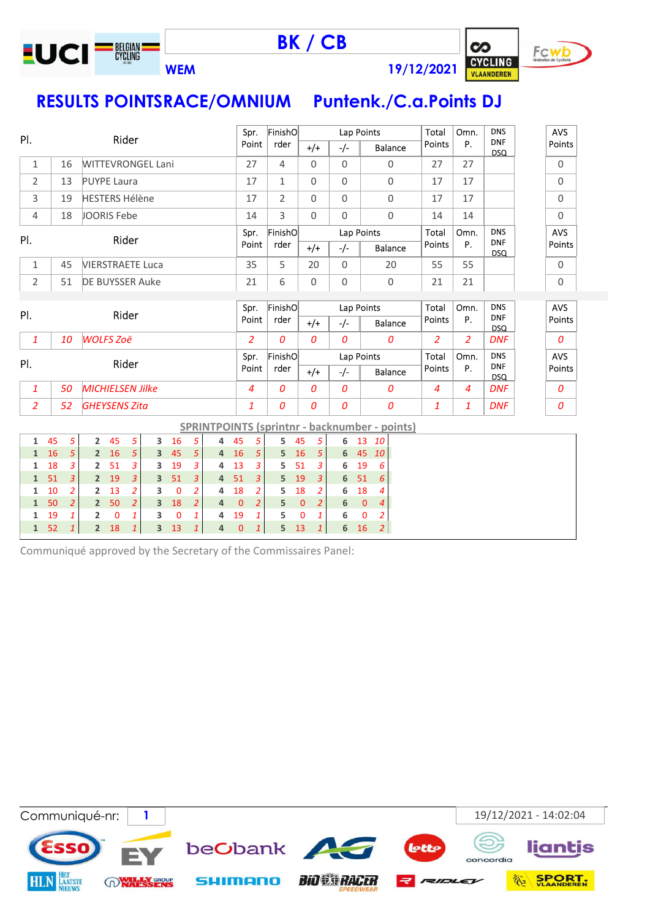

BK / CB



WEM 19/12/2021

# RESULTS POINTSRACE/OMNIUM Puntenk./C.a.Points DJ

|                   |          | Rider                   |                                  |                                                        |                                  |                     |                | Spr.                             |                     | FinishO              |                                  |                |          | Lap Points                       |                      | Total        | Omn.                                                 | <b>DNS</b>     | <b>AVS</b>               |                          |            |
|-------------------|----------|-------------------------|----------------------------------|--------------------------------------------------------|----------------------------------|---------------------|----------------|----------------------------------|---------------------|----------------------|----------------------------------|----------------|----------|----------------------------------|----------------------|--------------|------------------------------------------------------|----------------|--------------------------|--------------------------|------------|
| PI.               |          |                         |                                  |                                                        |                                  |                     |                |                                  |                     | Point                |                                  | rder           |          | $+/+$                            | $-/-$                |              | <b>Balance</b>                                       | <b>Points</b>  | P.                       | <b>DNF</b><br><b>DSQ</b> | Points     |
| $\mathbf{1}$      |          | 16                      | <b>WITTEVRONGEL Lani</b>         |                                                        |                                  |                     |                |                                  |                     | 27                   |                                  | $\overline{4}$ |          | $\Omega$                         | $\Omega$             |              | $\Omega$                                             | 27             | 27                       |                          | 0          |
| $\overline{2}$    |          | 13                      | <b>PUYPE Laura</b>               |                                                        |                                  |                     |                |                                  |                     | 17                   |                                  | $\mathbf{1}$   |          | $\Omega$                         | $\Omega$             |              | $\mathbf 0$                                          | 17             | 17                       |                          | 0          |
| 3                 |          | 19                      | <b>HESTERS Hélène</b>            |                                                        |                                  |                     |                |                                  |                     | 17                   |                                  | $\overline{2}$ |          | $\Omega$                         | $\Omega$             |              | $\Omega$                                             | 17             | 17                       |                          | 0          |
| $\overline{4}$    |          | 18                      | <b>JOORIS Febe</b>               |                                                        |                                  |                     |                |                                  |                     | 14                   |                                  | 3              |          | $\Omega$                         | $\Omega$             |              | $\Omega$                                             | 14             | 14                       |                          | 0          |
| PI.               |          |                         |                                  |                                                        | Rider                            |                     |                |                                  |                     | Spr.                 |                                  | FinishO        |          |                                  |                      | Lap Points   |                                                      | Total          | Omn.                     | <b>DNS</b>               | AVS        |
|                   |          |                         |                                  |                                                        |                                  |                     |                |                                  |                     | Point                |                                  | rder           |          | $+/-$                            | $-/-$                |              | <b>Balance</b>                                       | Points         | P.                       | <b>DNF</b><br><b>DSQ</b> | Points     |
| $\mathbf{1}$      |          | 45                      | <b>VIERSTRAETE Luca</b>          |                                                        |                                  |                     |                |                                  |                     | 35                   |                                  | 5              |          | 20                               | $\Omega$             |              | 20                                                   | 55             | 55                       |                          | 0          |
| $\overline{2}$    |          | 51                      | <b>DE BUYSSER Auke</b>           |                                                        |                                  |                     |                |                                  |                     | 21                   |                                  | 6              |          | $\Omega$                         | $\Omega$             |              | $\Omega$                                             | 21             | 21                       |                          | 0          |
|                   |          |                         |                                  |                                                        |                                  |                     |                |                                  |                     |                      | FinishO                          |                |          |                                  |                      |              | Total                                                | Omn.           | <b>DNS</b>               | <b>AVS</b>               |            |
| PI.               |          |                         |                                  | Rider                                                  |                                  |                     |                |                                  | Spr.<br>Point       |                      | rder                             |                | $+/-$    | $-/-$                            | Lap Points           | Balance      | Points                                               | Ρ.             | <b>DNF</b><br><b>DSQ</b> | Points                   |            |
| $\mathbf{1}$      |          | 10                      | <b>WOLFS Zoë</b>                 |                                                        |                                  |                     |                |                                  |                     | $\overline{2}$       |                                  | $\overline{a}$ |          | $\Omega$                         | $\Omega$             |              | 0                                                    | $\overline{2}$ | $\overline{2}$           | <b>DNF</b>               | 0          |
| PI.               |          |                         |                                  |                                                        | Rider                            |                     |                |                                  |                     | Spr.                 |                                  | FinishO        |          |                                  |                      | Lap Points   |                                                      | Total          | Omn.                     | <b>DNS</b>               | <b>AVS</b> |
|                   |          |                         |                                  |                                                        |                                  |                     |                |                                  |                     | Point                |                                  | rder           |          | $+/-$                            | $-/-$                |              | Balance                                              | Points         | P.                       | <b>DNF</b><br><b>DSQ</b> | Points     |
| $\mathbf{1}$      |          | 50                      | <b>MICHIELSEN Jilke</b>          |                                                        |                                  |                     |                |                                  |                     | $\overline{4}$       |                                  | $\overline{a}$ |          | $\Omega$                         | $\boldsymbol{O}$     |              | 0                                                    | $\overline{4}$ | $\overline{4}$           | <b>DNF</b>               | 0          |
| $\overline{2}$    |          | 52                      | <b>GHEYSENS Zita</b>             |                                                        |                                  |                     |                |                                  |                     | $\mathbf{1}$         |                                  | 0              |          | 0                                | $\overline{O}$       |              | $\boldsymbol{0}$                                     | $\mathbf{1}$   | $\mathbf{1}$             | <b>DNF</b>               | 0          |
|                   |          |                         |                                  |                                                        |                                  |                     |                |                                  |                     |                      |                                  |                |          |                                  |                      |              | <b>SPRINTPOINTS (sprintnr - backnumber - points)</b> |                |                          |                          |            |
| 1                 | 45       | 5                       | $\overline{2}$                   | 45                                                     | 5                                | 3                   | 16             | 5                                | 4                   | 45                   | 5                                | 5              | 45       | 5                                | 6                    | 13           | 10                                                   |                |                          |                          |            |
| $\mathbf{1}$      | 16       | 5                       | $\overline{2}$                   | 16                                                     | 5                                | $\overline{3}$      | 45             | $\overline{5}$                   | $\overline{4}$      | 16                   | 5                                | 5              | 16       | 5                                | 6                    | 45           | 10                                                   |                |                          |                          |            |
| 1                 | 18       | 3                       | $\overline{2}$                   | 51                                                     | 3                                | 3                   | 19             | 3                                | 4                   | 13                   | 3                                | 5              | 51       | 3                                | 6                    | 19           | 6                                                    |                |                          |                          |            |
| $\mathbf{1}$<br>1 | 51<br>10 | 3<br>$\overline{2}$     | $\overline{2}$<br>$\overline{2}$ | 19<br>13                                               | $\overline{3}$<br>$\overline{2}$ | $\overline{3}$<br>3 | 51<br>$\Omega$ | $\overline{3}$<br>$\overline{2}$ | $\overline{4}$<br>4 | 51<br>18             | $\overline{3}$<br>$\overline{a}$ | 5<br>5         | 19<br>18 | $\overline{3}$<br>$\overline{a}$ | $6\phantom{1}6$<br>6 | 51<br>18     | 6<br>4                                               |                |                          |                          |            |
| $\mathbf{1}$      | 50       | $\overline{2}$          | $\overline{2}$                   | 50<br>18<br>$\overline{2}$<br>$\overline{2}$<br>3<br>4 |                                  |                     |                |                                  |                     |                      | $\overline{a}$                   | 5              | $\Omega$ | $\overline{2}$                   | 6                    | $\mathbf{0}$ | $\overline{4}$                                       |                |                          |                          |            |
| 1                 | 19       | $\overline{\mathbf{1}}$ | $\overline{2}$                   | 0                                                      | $\mathbf{1}$                     | 3                   | $\overline{0}$ | $\mathbf{1}$                     | 4                   | $\overline{0}$<br>19 | $\mathbf{1}$                     | 5              | 0        | $\mathbf{1}$                     | 6                    | 0            | $\overline{2}$                                       |                |                          |                          |            |

Communiqué approved by the Secretary of the Commissaires Panel:

1 52 1 2 18 1 3 13 1 4 0 1 5 13 1 6 16 2

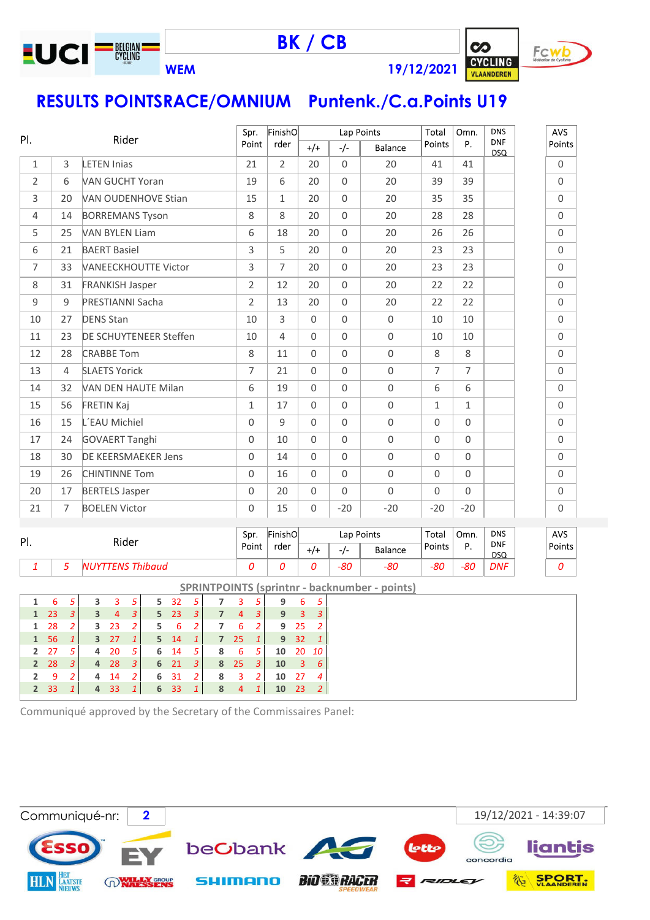

BK / CB



RESULTS POINTSRACE/OMNIUM Puntenk./C.a.Points U19

| PI.            |                |                             | Spr.           | FinishO        |             | Lap Points  |                | Total        | Omn.           | <b>DNS</b>               | AVS                 |
|----------------|----------------|-----------------------------|----------------|----------------|-------------|-------------|----------------|--------------|----------------|--------------------------|---------------------|
|                |                | Rider                       | Point          | rder           | $+/+$       | -/-         | <b>Balance</b> | Points       | P.             | <b>DNF</b><br><b>DSQ</b> | Points              |
| 1              | 3              | <b>LETEN Inias</b>          | 21             | $\overline{2}$ | 20          | $\mathbf 0$ | 20             | 41           | 41             |                          | 0                   |
| $\overline{2}$ | 6              | <b>VAN GUCHT Yoran</b>      | 19             | 6              | 20          | 0           | 20             | 39           | 39             |                          | 0                   |
| 3              | 20             | <b>VAN OUDENHOVE Stian</b>  | 15             | $\mathbf{1}$   | 20          | $\Omega$    | 20             | 35           | 35             |                          | $\Omega$            |
| $\overline{4}$ | 14             | <b>BORREMANS Tyson</b>      | 8              | 8              | 20          | $\Omega$    | 20             | 28           | 28             |                          | $\mathsf{O}\xspace$ |
| 5              | 25             | <b>VAN BYLEN Liam</b>       | 6              | 18             | 20          | 0           | 20             | 26           | 26             |                          | $\Omega$            |
| 6              | 21             | <b>BAERT Basiel</b>         | 3              | 5              | 20          | $\Omega$    | 20             | 23           | 23             |                          | 0                   |
| $\overline{7}$ | 33             | <b>VANEECKHOUTTE Victor</b> | 3              | $\overline{7}$ | 20          | 0           | 20             | 23           | 23             |                          | 0                   |
| 8              | 31             | <b>FRANKISH Jasper</b>      | $\overline{2}$ | 12             | 20          | $\Omega$    | 20             | 22           | 22             |                          | 0                   |
| 9              | 9              | PRESTIANNI Sacha            | $\overline{2}$ | 13             | 20          | 0           | 20             | 22           | 22             |                          | 0                   |
| 10             | 27             | <b>DENS Stan</b>            | 10             | $\overline{3}$ | $\Omega$    | 0           | $\mathbf 0$    | 10           | 10             |                          | 0                   |
| 11             | 23             | DE SCHUYTENEER Steffen      | 10             | $\overline{4}$ | $\Omega$    | $\Omega$    | $\mathbf 0$    | 10           | 10             |                          | $\Omega$            |
| 12             | 28             | <b>CRABBE Tom</b>           | 8              | 11             | $\Omega$    | $\Omega$    | $\mathbf 0$    | 8            | 8              |                          | 0                   |
| 13             | $\overline{4}$ | <b>SLAETS Yorick</b>        | $\overline{7}$ | 21             | $\Omega$    | 0           | $\mathbf 0$    | 7            | $\overline{7}$ |                          | 0                   |
| 14             | 32             | VAN DEN HAUTE Milan         | 6              | 19             | $\Omega$    | $\Omega$    | $\mathbf 0$    | 6            | 6              |                          | 0                   |
| 15             | 56             | <b>FRETIN Kaj</b>           | $\mathbf{1}$   | 17             | $\Omega$    | $\Omega$    | $\mathbf 0$    | $\mathbf{1}$ | $\mathbf{1}$   |                          | 0                   |
| 16             | 15             | L'EAU Michiel               | $\Omega$       | 9              | $\Omega$    | $\Omega$    | $\Omega$       | $\Omega$     | $\overline{0}$ |                          | $\Omega$            |
| 17             | 24             | <b>GOVAERT Tanghi</b>       | $\Omega$       | 10             | $\Omega$    | $\Omega$    | $\mathsf 0$    | $\Omega$     | $\overline{0}$ |                          | $\mathsf{O}$        |
| 18             | 30             | <b>DE KEERSMAEKER Jens</b>  | $\Omega$       | 14             | $\Omega$    | 0           | $\mathbf 0$    | $\Omega$     | $\overline{0}$ |                          | 0                   |
| 19             | 26             | <b>CHINTINNE Tom</b>        | $\Omega$       | 16             | $\Omega$    | $\Omega$    | $\mathbf 0$    | $\Omega$     | $\Omega$       |                          | 0                   |
| 20             | 17             | <b>BERTELS Jasper</b>       | $\Omega$       | 20             | $\mathbf 0$ | $\mathbf 0$ | $\mathbf 0$    | $\mathbf 0$  | $\Omega$       |                          | 0                   |
| 21             | $\overline{7}$ | <b>BOELEN Victor</b>        | $\Omega$       | 15             | 0           | $-20$       | $-20$          | $-20$        | $-20$          |                          | 0                   |

| PI. | Rider                   | FinishO<br>Lap Points<br>Spr. |      | Total | Omn. | <b>DNS</b>     | <b>AVS</b> |          |                          |        |
|-----|-------------------------|-------------------------------|------|-------|------|----------------|------------|----------|--------------------------|--------|
|     |                         | Point                         | rder | +/+   | -1-  | <b>Balance</b> | Points     | D<br>. . | <b>DNF</b><br><b>DSQ</b> | Points |
|     | <b>NUYTTENS Thibaud</b> |                               |      |       | -80  | -80            | $-80$      | -80      | <b>DNF</b>               |        |

|               |    |               |   |              |    |    |          |   |                |    |              |    |                 |      | <b>SPRINTPOINTS (sprintnr - backnumber - points)</b> |
|---------------|----|---------------|---|--------------|----|----|----------|---|----------------|----|--------------|----|-----------------|------|------------------------------------------------------|
| 1             | 6  |               | 3 | 3            | 5  | 5. | -32      | 5 |                | 3  | 5            | 9  | 6               | 5    |                                                      |
| 1             | 23 | 3             | 3 | 4            | 3  |    | $5 \t23$ | 3 | 7              | 4  | 3            | 9  | 3               | 3    |                                                      |
| 1             | 28 | 2             |   | $3 \quad 23$ |    | 5  | 6        | 2 | 7              | 6  | 2            | 9  | -25             |      |                                                      |
| $\mathbf{1}$  | 56 |               |   | $3\quad 27$  |    | 5. | -14      | 1 | 7 <sup>7</sup> | 25 | $\mathbf{1}$ |    | 9 <sub>32</sub> |      |                                                      |
| $\mathcal{P}$ | 27 | 5.            | 4 | 20           | -5 | 6. | - 14     | 5 | 8              | 6  | 5            | 10 | 20              | - 10 |                                                      |
| $2^{\circ}$   | 28 | 3             |   | 4 28         | 3  |    | 6 21     | 3 | 8              | 25 | -3           | 10 | 3               | 6    |                                                      |
| 2             | 9  | $\mathcal{P}$ | 4 | - 14         |    |    | 6 31     | 2 | 8              | 3  | 2            | 10 | 27              | 4    |                                                      |
|               | 33 |               | 4 | 33           |    |    | 6 33     | 1 | 8              | 4  |              | 10 | 23              | -2   |                                                      |
|               |    |               |   |              |    |    |          |   |                |    |              |    |                 |      |                                                      |

Communiqué approved by the Secretary of the Commissaires Panel:

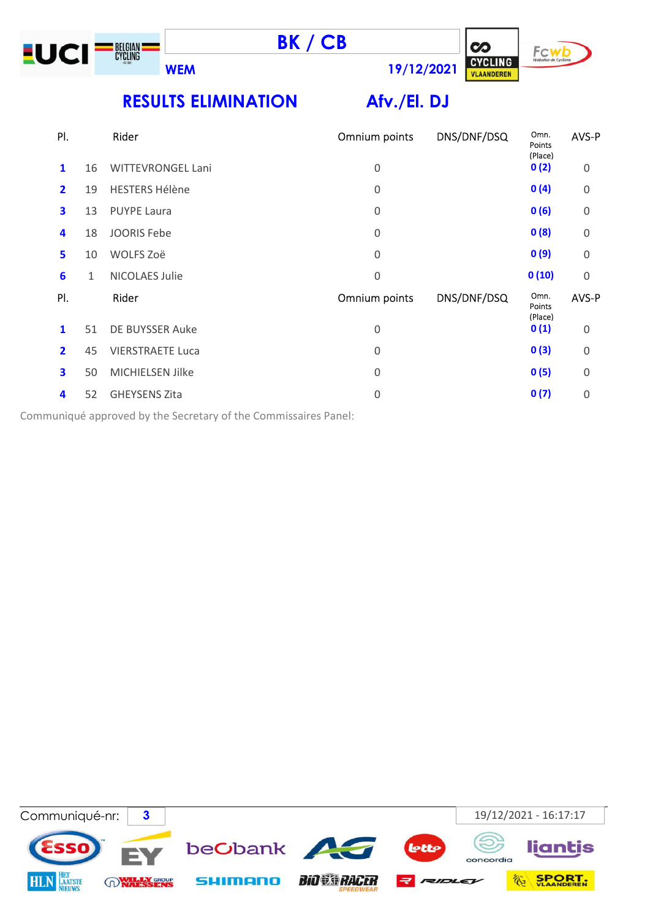





RESULTS ELIMINATION Afv./El. DJ

| PI.                     |    | Rider                    | Omnium points    | DNS/DNF/DSQ | Omn.<br>Points<br>(Place) | AVS-P       |
|-------------------------|----|--------------------------|------------------|-------------|---------------------------|-------------|
| 1                       | 16 | <b>WITTEVRONGEL Lani</b> | $\mathbf 0$      |             | 0(2)                      | $\Omega$    |
| $\overline{2}$          | 19 | <b>HESTERS Hélène</b>    | $\mathbf 0$      |             | 0(4)                      | $\mathbf 0$ |
| 3                       | 13 | <b>PUYPE Laura</b>       | 0                |             | 0(6)                      | $\mathbf 0$ |
| 4                       | 18 | <b>JOORIS Febe</b>       | $\boldsymbol{0}$ |             | 0(8)                      | $\mathbf 0$ |
| 5                       | 10 | WOLFS Zoë                | $\boldsymbol{0}$ |             | 0(9)                      | $\mathbf 0$ |
| 6                       | 1  | NICOLAES Julie           | $\boldsymbol{0}$ |             | 0(10)                     | $\Omega$    |
| PI.                     |    | Rider                    | Omnium points    | DNS/DNF/DSQ | Omn.<br>Points<br>(Place) | AVS-P       |
| $\mathbf{1}$            | 51 | DE BUYSSER Auke          | $\mathbf 0$      |             | 0(1)                      | $\mathbf 0$ |
| $\overline{\mathbf{2}}$ | 45 | <b>VIERSTRAETE Luca</b>  | $\boldsymbol{0}$ |             | 0(3)                      | $\mathbf 0$ |
| 3                       | 50 | MICHIELSEN Jilke         | $\boldsymbol{0}$ |             | 0(5)                      | $\mathbf 0$ |
| 4                       | 52 | <b>GHEYSENS Zita</b>     | 0                |             | 0(7)                      | $\Omega$    |
|                         |    |                          |                  |             |                           |             |

Communiqué approved by the Secretary of the Commissaires Panel:

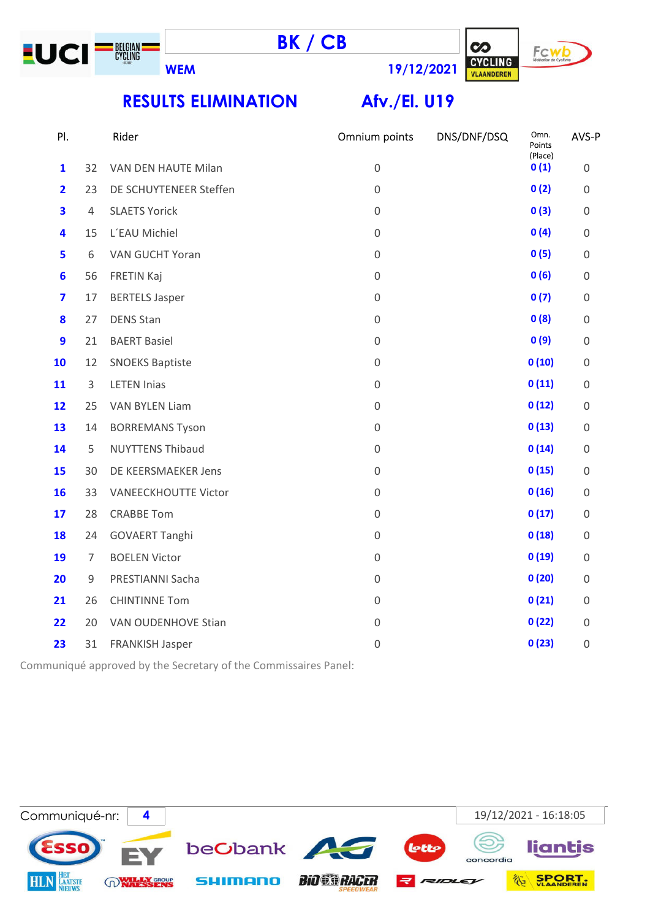





RESULTS ELIMINATION Afv./El. U19

| PI.              |                | Rider                       | Omnium points       | DNS/DNF/DSQ | Omn.<br>Points<br>(Place) | AVS-P               |
|------------------|----------------|-----------------------------|---------------------|-------------|---------------------------|---------------------|
| $\mathbf{1}$     | 32             | VAN DEN HAUTE Milan         | $\mathbf 0$         |             | 0(1)                      | $\mathsf{O}\xspace$ |
| $\overline{2}$   | 23             | DE SCHUYTENEER Steffen      | $\mathbf 0$         |             | 0(2)                      | 0                   |
| 3                | 4              | <b>SLAETS Yorick</b>        | $\mathbf 0$         |             | 0(3)                      | 0                   |
| 4                | 15             | L'EAU Michiel               | $\mathbf 0$         |             | 0(4)                      | $\mathsf{O}\xspace$ |
| 5                | 6              | VAN GUCHT Yoran             | $\mathbf 0$         |             | 0(5)                      | $\mathsf{O}\xspace$ |
| $6\phantom{1}6$  | 56             | <b>FRETIN Kaj</b>           | $\mathbf 0$         |             | 0(6)                      | $\mathsf{O}\xspace$ |
| 7                | 17             | <b>BERTELS Jasper</b>       | $\mathbf 0$         |             | 0(7)                      | 0                   |
| 8                | 27             | <b>DENS Stan</b>            | $\mathsf{O}\xspace$ |             | 0(8)                      | $\mathsf{O}\xspace$ |
| $\boldsymbol{9}$ | 21             | <b>BAERT Basiel</b>         | $\mathbf 0$         |             | 0(9)                      | 0                   |
| 10               | 12             | <b>SNOEKS Baptiste</b>      | $\mathbf 0$         |             | 0(10)                     | $\mathsf{O}\xspace$ |
| 11               | 3              | <b>LETEN Inias</b>          | $\mathbf 0$         |             | 0(11)                     | $\mathsf{O}\xspace$ |
| 12               | 25             | <b>VAN BYLEN Liam</b>       | $\mathbf 0$         |             | 0(12)                     | $\mathsf{O}\xspace$ |
| 13               | 14             | <b>BORREMANS Tyson</b>      | $\mathbf 0$         |             | 0(13)                     | $\mathsf{O}\xspace$ |
| 14               | 5              | <b>NUYTTENS Thibaud</b>     | $\mathbf 0$         |             | 0(14)                     | 0                   |
| 15               | 30             | DE KEERSMAEKER Jens         | $\mathbf 0$         |             | 0(15)                     | $\mathsf{O}\xspace$ |
| 16               | 33             | <b>VANEECKHOUTTE Victor</b> | $\mathbf 0$         |             | 0(16)                     | 0                   |
| 17               | 28             | <b>CRABBE Tom</b>           | $\mathbf 0$         |             | 0(17)                     | $\mathsf{O}\xspace$ |
| 18               | 24             | <b>GOVAERT Tanghi</b>       | $\mathbf 0$         |             | 0(18)                     | $\mathsf{O}\xspace$ |
| 19               | $\overline{7}$ | <b>BOELEN Victor</b>        | $\mathbf 0$         |             | 0(19)                     | 0                   |
| 20               | 9              | PRESTIANNI Sacha            | $\mathbf 0$         |             | 0(20)                     | 0                   |
| 21               | 26             | <b>CHINTINNE Tom</b>        | $\mathbf 0$         |             | 0(21)                     | 0                   |
| 22               | 20             | VAN OUDENHOVE Stian         | $\mathbf 0$         |             | 0(22)                     | $\mathsf{O}\xspace$ |
| 23               | 31             | <b>FRANKISH Jasper</b>      | $\mathbf 0$         |             | 0(23)                     | 0                   |
|                  |                |                             |                     |             |                           |                     |

Communiqué approved by the Secretary of the Commissaires Panel:

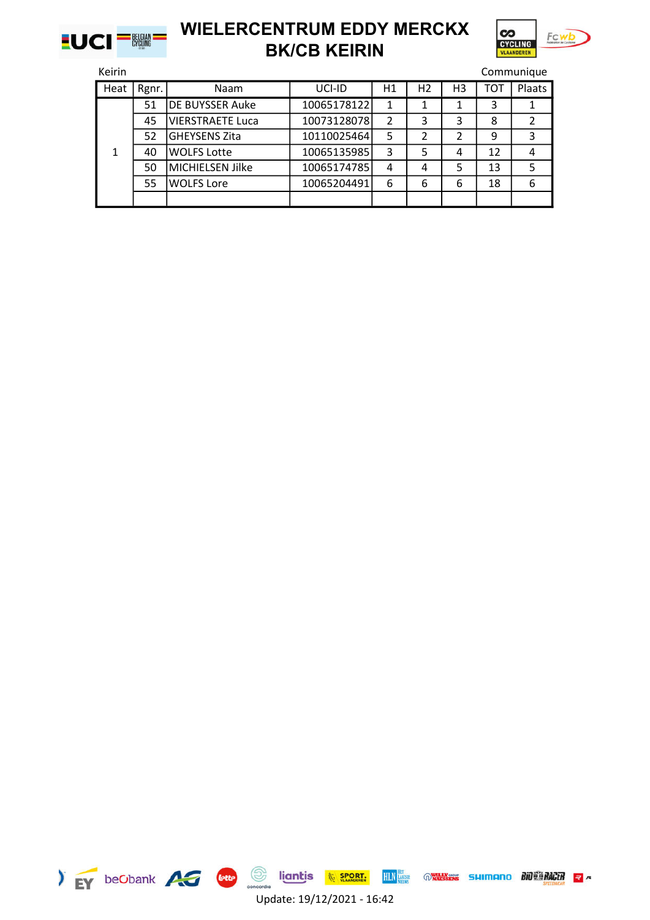



| Keirin |       |                         |             |                |                |    |            | Communique |
|--------|-------|-------------------------|-------------|----------------|----------------|----|------------|------------|
| Heat   | Rgnr. | Naam                    | UCI-ID      | H1             | H <sub>2</sub> | H3 | <b>TOT</b> | Plaats     |
|        | 51    | <b>DE BUYSSER Auke</b>  | 10065178122 | 1              | 1              | 1  | 3          |            |
|        | 45    | <b>VIERSTRAETE Luca</b> | 10073128078 | $\overline{2}$ | 3              | 3  | 8          | 2          |
|        | 52    | <b>GHEYSENS Zita</b>    | 10110025464 | 5              | 2              | 2  | 9          | 3          |
| 1      | 40    | <b>WOLFS Lotte</b>      | 10065135985 | 3              | 5              | 4  | 12         | 4          |
|        | 50    | MICHIELSEN Jilke        | 10065174785 | 4              | 4              | 5  | 13         | 5          |
|        | 55    | <b>WOLFS Lore</b>       | 10065204491 | 6              | 6              | 6  | 18         | 6          |
|        |       |                         |             |                |                |    |            |            |

|  | beObank |  |
|--|---------|--|
|  |         |  |



Update: 19/12/2021 - 16:42

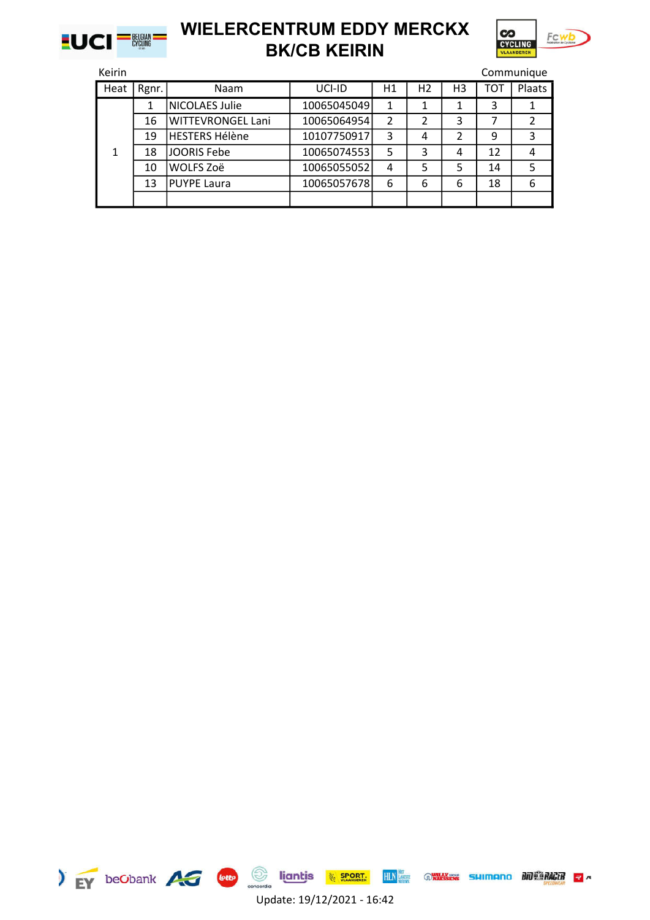



| Keirin |       |                          |             |    |                |    |            | Communique    |
|--------|-------|--------------------------|-------------|----|----------------|----|------------|---------------|
| Heat   | Rgnr. | Naam                     | UCI-ID      | H1 | H <sub>2</sub> | H3 | <b>TOT</b> | Plaats        |
|        |       | <b>NICOLAES Julie</b>    | 10065045049 | 1  |                |    | 3          |               |
|        | 16    | <b>WITTEVRONGEL Lani</b> | 10065064954 | 2  | 2              | 3  |            | $\mathfrak z$ |
|        | 19    | HESTERS Hélène           | 10107750917 | 3  | 4              | 2  | 9          | 3             |
|        | 18    | JOORIS Febe              | 10065074553 | 5  | 3              | 4  | 12         | 4             |
|        | 10    | WOLFS Zoë                | 10065055052 | 4  | 5              | 5  | 14         | 5             |
|        | 13    | PUYPE Laura              | 10065057678 | 6  | 6              | 6  | 18         | 6             |
|        |       |                          |             |    |                |    |            |               |





Update: 19/12/2021 - 16:42

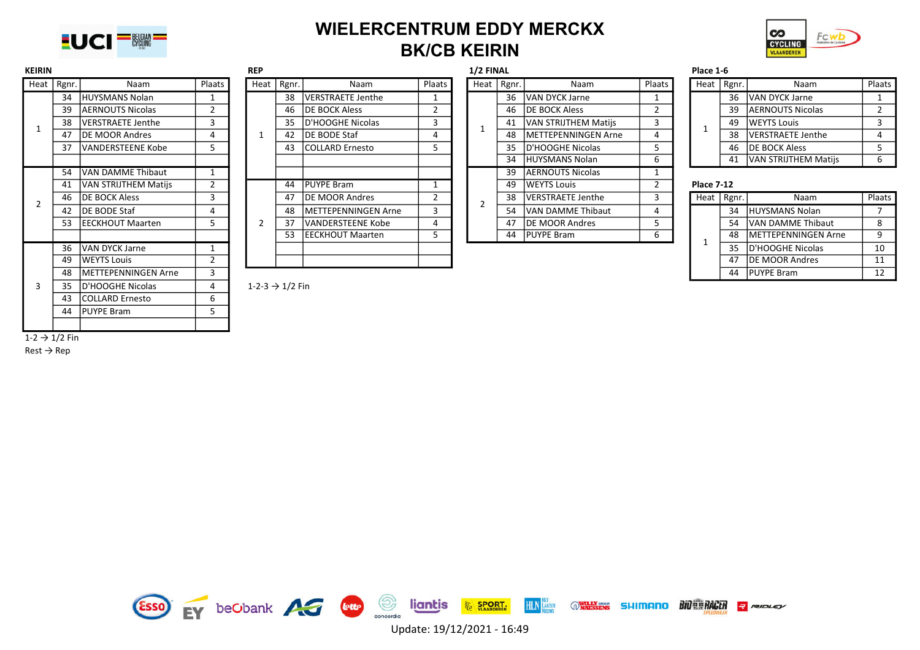



| <b>KEIRIN</b>             | Heat   Rgnr.<br><b>Naam</b> |                            |                | <b>REP</b>                  |              |                          |        | <b>1/2 FINAL</b> |              |                          |        | Place 1-6         |              |                         |             |
|---------------------------|-----------------------------|----------------------------|----------------|-----------------------------|--------------|--------------------------|--------|------------------|--------------|--------------------------|--------|-------------------|--------------|-------------------------|-------------|
|                           |                             |                            | Plaats         |                             | Heat   Rgnr. | Naam                     | Plaats |                  | Heat   Rgnr. | Naam                     | Plaats |                   | Heat   Rgnr. | Naam                    | Plaats      |
|                           |                             | 34 HUYSMANS Nolan          | 1              |                             | 38           | VERSTRAETE Jenthe        |        |                  | 36           | VAN DYCK Jarne           |        |                   | 36           | VAN DYCK Jarne          | 1           |
|                           | 39                          | AERNOUTS Nicolas           |                |                             | 46           | <b>DE BOCK Aless</b>     |        |                  | 46           | <b>DE BOCK Aless</b>     |        |                   | 39           | <b>AERNOUTS Nicolas</b> |             |
|                           | 38                          | <b>VERSTRAETE Jenthe</b>   | 3              |                             | 35           | <b>ID'HOOGHE Nicolas</b> | 3      |                  | 41           | VAN STRIJTHEM Matijs     |        |                   | 49           | <b>WEYTS Louis</b>      |             |
|                           | 47                          | DE MOOR Andres             | 4              |                             | 42           | <b>DE BODE Staf</b>      | 4      |                  | 48           | METTEPENNINGEN Arne      |        |                   | 38           | VERSTRAETE Jenthe       | 4           |
|                           | 37                          | VANDERSTEENE Kobe          | 5              |                             | 43           | <b>COLLARD Ernesto</b>   |        |                  | 35           | D'HOOGHE Nicolas         |        |                   | 46           | <b>DE BOCK Aless</b>    | 5           |
|                           |                             |                            |                |                             |              |                          |        |                  | 34           | <b>HUYSMANS Nolan</b>    | 6      |                   | 41           | VAN STRIJTHEM Matijs    | 6           |
|                           | 54                          | VAN DAMME Thibaut          |                |                             |              |                          |        |                  | 39           | <b>AERNOUTS Nicolas</b>  |        |                   |              |                         |             |
|                           | 41                          | VAN STRIJTHEM Matijs       | $\overline{2}$ |                             | 44           | <b>PUYPE Bram</b>        |        |                  | 49           | <b>WEYTS Louis</b>       | 2      | <b>Place 7-12</b> |              |                         |             |
|                           | 46                          | <b>DE BOCK Aless</b>       | 3              |                             | 47           | DE MOOR Andres           |        |                  | 38           | <b>VERSTRAETE Jenthe</b> | 3      |                   | Heat   Rgnr. | Naam                    | Plaats      |
|                           | 42                          | DE BODE Staf               | 4              |                             | 48           | METTEPENNINGEN Arne      | 3      |                  | 54           | <b>VAN DAMME Thibaut</b> |        |                   | 34           | HUYSMANS Nolan          | $7^{\circ}$ |
|                           | 53                          | <b>IEECKHOUT Maarten</b>   | 5              | 2                           | 37           | VANDERSTEENE Kobe        | 4      |                  | 47           | <b>IDE MOOR Andres</b>   | 5      |                   | 54           | VAN DAMME Thibaut       | 8           |
|                           |                             |                            |                |                             | 53           | <b>IEECKHOUT Maarten</b> |        |                  | 44           | <b>PUYPE Bram</b>        | 6      |                   | 48           | METTEPENNINGEN Arne     | 9           |
|                           | 36                          | <b>VAN DYCK Jarne</b>      | $\mathbf{1}$   |                             |              |                          |        |                  |              |                          |        |                   | 35           | D'HOOGHE Nicolas        | 10          |
|                           | 49                          | <b>WEYTS Louis</b>         | 2              |                             |              |                          |        |                  |              |                          |        |                   | 47           | <b>DE MOOR Andres</b>   | 11          |
|                           | 48                          | <b>METTEPENNINGEN Arne</b> | 3              |                             |              |                          |        |                  |              |                          |        |                   | 44           | <b>PUYPE Bram</b>       | 12          |
|                           | 35                          | D'HOOGHE Nicolas           | 4              | 1-2-3 $\rightarrow$ 1/2 Fin |              |                          |        |                  |              |                          |        |                   |              |                         |             |
|                           | 43                          | <b>COLLARD Ernesto</b>     | 6              |                             |              |                          |        |                  |              |                          |        |                   |              |                         |             |
|                           | 44                          | <b>PUYPE Bram</b>          | 5              |                             |              |                          |        |                  |              |                          |        |                   |              |                         |             |
|                           |                             |                            |                |                             |              |                          |        |                  |              |                          |        |                   |              |                         |             |
| $1-2 \rightarrow 1/2$ Fin |                             |                            |                |                             |              |                          |        |                  |              |                          |        |                   |              |                         |             |

| <b>KEIRIN</b> |              |                          | 1/2 FINAL<br><b>REP</b> |  |  |              |                             |        |              | Place 1-6                   |        |                   |              |                          |        |
|---------------|--------------|--------------------------|-------------------------|--|--|--------------|-----------------------------|--------|--------------|-----------------------------|--------|-------------------|--------------|--------------------------|--------|
|               | Heat   Rgnr. | Naam                     | Plaats                  |  |  | Heat   Rgnr. | Naam                        | Plaats | Heat   Rgnr. | Naam                        | Plaats |                   | Heat   Rgnr. | Naam                     | Plaats |
|               | 34           | <b>HUYSMANS Nolan</b>    |                         |  |  | 38           | <b>VERSTRAETE Jenthe</b>    |        |              | 36 IVAN DYCK Jarne          |        |                   | 36           | <b>VAN DYCK Jarne</b>    |        |
|               | 39           | AERNOUTS Nicolas         |                         |  |  | 46           | <b>IDE BOCK Aless</b>       |        |              | 46 <b>DE BOCK Aless</b>     |        |                   | 39           | <b>AERNOUTS Nicolas</b>  |        |
|               | 38           | <b>VERSTRAETE Jenthe</b> |                         |  |  | 35           | D'HOOGHE Nicolas            |        |              | 41   VAN STRIJTHEM Matijs   |        |                   | 49           | <b>WEYTS Louis</b>       |        |
|               | 47           | <b>DE MOOR Andres</b>    | 4                       |  |  | 42           | <b>IDE BODE Staf</b>        |        | 48           | <b>IMETTEPENNINGEN Arne</b> |        |                   | 38           | <b>VERSTRAETE Jenthe</b> |        |
|               | 37           | lVANDERSTEENE Kobe       | 5.                      |  |  | 43           | <b>COLLARD Ernesto</b>      |        |              | 35 D'HOOGHE Nicolas         |        |                   | 46           | <b>DE BOCK Aless</b>     |        |
|               |              |                          |                         |  |  |              |                             |        |              | 34 HUYSMANS Nolan           | ь      |                   | 41           | VAN STRIJTHEM Matijs     | 6      |
|               | 54           | VAN DAMME Thibaut        |                         |  |  |              |                             |        | 39           | <b>AERNOUTS Nicolas</b>     |        |                   |              |                          |        |
|               | 41           | VAN STRIJTHEM Matijs     | $\mathbf{r}$            |  |  | 44           | <b>PUYPE Bram</b>           |        | 49           | <b>WEYTS Louis</b>          |        | <b>Place 7-12</b> |              |                          |        |
|               | 46           | DE BOCK Aless            | 5.                      |  |  | 47           | <b>IDE MOOR Andres</b>      |        |              | 38   VERSTRAETE Jenthe      |        |                   | Heat   Rgnr. | Naam                     | Plaats |
|               | 42           | DE BODE Staf             | 4                       |  |  | 48           | <b>IMETTEPENNINGEN Arne</b> |        | 54           | VAN DAMME Thibaut           |        |                   | 34           | HUYSMANS Nolan           |        |
|               | 53           | IEECKHOUT Maarten        | כ                       |  |  | 37           | <b>VANDERSTEENE Kobe</b>    |        | 47           | <b>IDE MOOR Andres</b>      |        |                   | 54           | VAN DAMME Thibaut        | 8      |
|               |              |                          |                         |  |  | 53           | EECKHOUT Maarten            |        |              | 44 PUYPE Bram               | b      |                   | 48           | METTEPENNINGEN Arne      | 9      |
|               | 36           | <b>VAN DYCK Jarne</b>    |                         |  |  |              |                             |        |              |                             |        |                   | 35           | D'HOOGHE Nicolas         | 10     |
|               | 49           | lWEYTS Louis             |                         |  |  |              |                             |        |              |                             |        |                   | 47           | <b>IDE MOOR Andres</b>   | 11     |
|               |              |                          |                         |  |  |              |                             |        |              |                             |        |                   |              |                          |        |

|      |                             |                | ------- |      |       |                             |        |  | 1 1966 I <sup>-0</sup> |       |                             |     |  |  |
|------|-----------------------------|----------------|---------|------|-------|-----------------------------|--------|--|------------------------|-------|-----------------------------|-----|--|--|
| gnr. | Naam                        | Plaats         |         | Heat | Rgnr. | Naam                        | Plaats |  | Heat                   | Rgnr. | Naam                        | Pla |  |  |
| 38   | <b>VERSTRAETE Jenthe</b>    |                |         |      | 36    | <b>VAN DYCK Jarne</b>       |        |  |                        | 36    | VAN DYCK Jarne              |     |  |  |
| 46   | <b>IDE BOCK Aless</b>       | $\overline{2}$ |         |      | 46    | <b>DE BOCK Aless</b>        | 2      |  |                        | 39    | <b>AERNOUTS Nicolas</b>     |     |  |  |
| 35   | D'HOOGHE Nicolas            | 3              |         |      | 41    | <b>VAN STRIJTHEM Matijs</b> | 3      |  |                        | 49    | <b>WEYTS Louis</b>          |     |  |  |
| 42   | <b>IDE BODE Staf</b>        | 4              |         |      | 48    | <b>IMETTEPENNINGEN Arne</b> | 4      |  |                        | 38    | VERSTRAETE Jenthe           | 4   |  |  |
|      | 43 COLLARD Ernesto          | 5.             |         |      | 35    | D'HOOGHE Nicolas            | 5      |  |                        | 46    | <b>DE BOCK Aless</b>        |     |  |  |
|      |                             |                |         |      | 34    | HUYSMANS Nolan              | 6      |  |                        | 41    | VAN STRIJTHEM Matijs        | 6   |  |  |
|      |                             |                |         |      | 39    | <b>JAERNOUTS Nicolas</b>    |        |  |                        |       |                             |     |  |  |
| 44   | <b>PUYPE Bram</b>           |                |         |      | 49    | <b>WEYTS Louis</b>          | 2      |  | <b>Place 7-12</b>      |       |                             |     |  |  |
| 47   | <b>IDE MOOR Andres</b>      | $\overline{2}$ |         |      | 38    | VERSTRAETE Jenthe           | 3      |  | Heat                   | Rgnr. | Naam                        | Pla |  |  |
| 48   | <b>IMETTEPENNINGEN Arne</b> | 3              |         |      | 54    | VAN DAMME Thibaut           | 4      |  |                        | 34    | <b>HUYSMANS Nolan</b>       |     |  |  |
| 37   | <b>VANDERSTEENE Kobe</b>    | 4              |         |      | 47    | <b>IDE MOOR Andres</b>      | 5      |  |                        | 54    | VAN DAMME Thibaut           | 8   |  |  |
| 53   | <b>IEECKHOUT Maarten</b>    | 5.             |         |      | 44    | <b>PUYPE Bram</b>           | 6      |  |                        | 48    | <b>IMETTEPENNINGEN Arne</b> |     |  |  |
|      |                             |                |         |      |       |                             |        |  |                        |       |                             |     |  |  |

| gnr. | Naam                        | Plaats | Heat | Rgnr. | Naam                        | Plaats |
|------|-----------------------------|--------|------|-------|-----------------------------|--------|
| 36   | VAN DYCK Jarne              |        |      | 36    | VAN DYCK Jarne              |        |
| 46   | <b>DE BOCK Aless</b>        |        |      | 39    | <b>AERNOUTS Nicolas</b>     |        |
| 41   | VAN STRIJTHEM Matijs        | 3      |      | 49    | <b>WEYTS Louis</b>          |        |
| 48   | <b>IMETTEPENNINGEN Arne</b> | 4      |      | 38    | <b>VERSTRAETE Jenthe</b>    |        |
| 35   | D'HOOGHE Nicolas            |        |      | 46    | <b>DE BOCK Aless</b>        |        |
| 34   | HUYSMANS Nolan              |        |      | 41    | <b>VAN STRIJTHEM Matiis</b> |        |

| 46 DE BOCK Aless        |  | 47 | <b>IDE MOOR Andres</b>    |  | 38 | VERSTRAETE Jenthe      |  | Heat   Rgnr. | Naam                    | Plaats |
|-------------------------|--|----|---------------------------|--|----|------------------------|--|--------------|-------------------------|--------|
| 42 IDE BODE Staf        |  | 48 | IMETTEPENNINGEN Arne      |  | 54 | VAN DAMME Thibaut      |  | 34           | HUYSMANS Nolan          |        |
| 53  EECKHOUT Maarten    |  | 37 | <b>IVANDERSTEENE Kobe</b> |  | 47 | <b>IDE MOOR Andres</b> |  |              | 54 VAN DAMME Thibaut    |        |
|                         |  | 53 | IEECKHOUT Maarten         |  | 44 | <b>PUYPE Bram</b>      |  |              | 48 IMETTEPENNINGEN Arne |        |
| 36 IVAN DYCK Jarne      |  |    |                           |  |    |                        |  | 35           | ID'HOOGHE Nicolas       | 10     |
| 49 NVEYTS Louis         |  |    |                           |  |    |                        |  | 47           | <b>IDE MOOR Andres</b>  |        |
| 48 IMETTEPENNINGEN Arne |  |    |                           |  |    |                        |  | 44           | <b>PUYPE Bram</b>       |        |

 $Rest \rightarrow Rep$